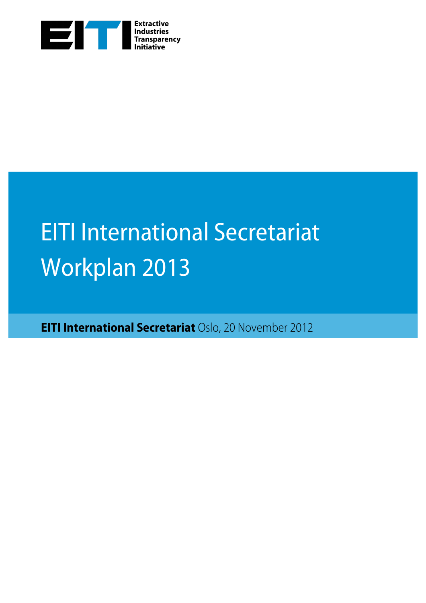

## EITI International Secretariat Workplan 2013

**EITI International Secretariat** Oslo, 20 November 2012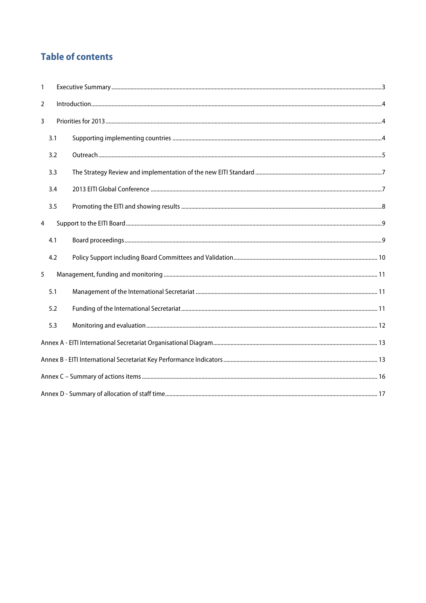## **Table of contents**

| $\mathbf{1}$   |     |  |  |  |  |  |  |  |
|----------------|-----|--|--|--|--|--|--|--|
| $\overline{2}$ |     |  |  |  |  |  |  |  |
| 3              |     |  |  |  |  |  |  |  |
|                | 3.1 |  |  |  |  |  |  |  |
|                | 3.2 |  |  |  |  |  |  |  |
|                | 3.3 |  |  |  |  |  |  |  |
|                | 3.4 |  |  |  |  |  |  |  |
|                | 3.5 |  |  |  |  |  |  |  |
| $\overline{4}$ |     |  |  |  |  |  |  |  |
|                | 4.1 |  |  |  |  |  |  |  |
|                | 4.2 |  |  |  |  |  |  |  |
| 5              |     |  |  |  |  |  |  |  |
|                | 5.1 |  |  |  |  |  |  |  |
|                | 5.2 |  |  |  |  |  |  |  |
|                | 5.3 |  |  |  |  |  |  |  |
|                |     |  |  |  |  |  |  |  |
|                |     |  |  |  |  |  |  |  |
|                |     |  |  |  |  |  |  |  |
|                |     |  |  |  |  |  |  |  |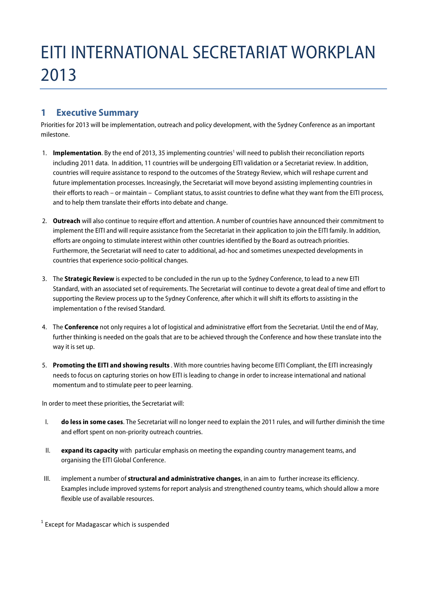## EITI INTERNATIONAL SECRETARIAT WORKPLAN 2013

## **1 Executive Summary**

Priorities for 2013 will be implementation, outreach and policy development, with the Sydney Conference as an important milestone.

- 1. **Implementation**. By the end of 2013, 35 implementing countries<sup>1</sup> will need to publish their reconciliation reports including 2011 data. In addition, 11 countries will be undergoing EITI validation or a Secretariat review. In addition, countries will require assistance to respond to the outcomes of the Strategy Review, which will reshape current and future implementation processes. Increasingly, the Secretariat will move beyond assisting implementing countries in their efforts to reach – or maintain – Compliant status, to assist countries to define what they want from the EITI process, and to help them translate their efforts into debate and change.
- 2. **Outreach** will also continue to require effort and attention. A number of countries have announced their commitment to implement the EITI and will require assistance from the Secretariat in their application to join the EITI family. In addition, efforts are ongoing to stimulate interest within other countries identified by the Board as outreach priorities. Furthermore, the Secretariat will need to cater to additional, ad-hoc and sometimes unexpected developments in countries that experience socio-political changes.
- 3. The **Strategic Review** is expected to be concluded in the run up to the Sydney Conference, to lead to a new EITI Standard, with an associated set of requirements. The Secretariat will continue to devote a great deal of time and effort to supporting the Review process up to the Sydney Conference, after which it will shift its efforts to assisting in the implementation o f the revised Standard.
- 4. The **Conference** not only requires a lot of logistical and administrative effort from the Secretariat. Until the end of May, further thinking is needed on the goals that are to be achieved through the Conference and how these translate into the way it is set up.
- 5. **Promoting the EITI and showing results** . With more countries having become EITI Compliant, the EITI increasingly needs to focus on capturing stories on how EITI is leading to change in order to increase international and national momentum and to stimulate peer to peer learning.

In order to meet these priorities, the Secretariat will:

- I. **do less in some cases**. The Secretariat will no longer need to explain the 2011 rules, and will further diminish the time and effort spent on non-priority outreach countries.
- II. **expand its capacity** with particular emphasis on meeting the expanding country management teams, and organising the EITI Global Conference.
- III. implement a number of **structural and administrative changes**, in an aim to further increase its efficiency. Examples include improved systems for report analysis and strengthened country teams, which should allow a more flexible use of available resources.

 $1$  Except for Madagascar which is suspended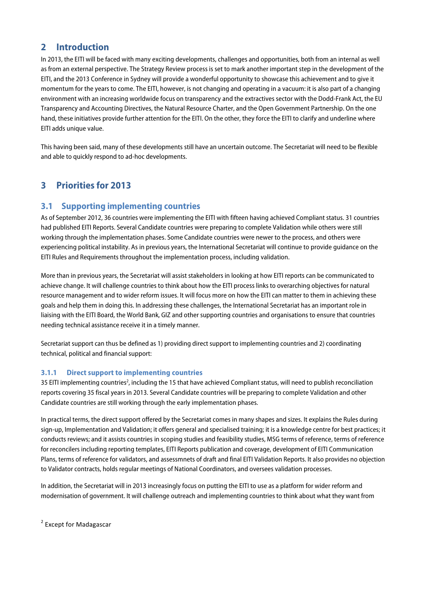## **2 Introduction**

In 2013, the EITI will be faced with many exciting developments, challenges and opportunities, both from an internal as well as from an external perspective. The Strategy Review process is set to mark another important step in the development of the EITI, and the 2013 Conference in Sydney will provide a wonderful opportunity to showcase this achievement and to give it momentum for the years to come. The EITI, however, is not changing and operating in a vacuum: it is also part of a changing environment with an increasing worldwide focus on transparency and the extractives sector with the Dodd-Frank Act, the EU Transparency and Accounting Directives, the Natural Resource Charter, and the Open Government Partnership. On the one hand, these initiatives provide further attention for the EITI. On the other, they force the EITI to clarify and underline where EITI adds unique value.

This having been said, many of these developments still have an uncertain outcome. The Secretariat will need to be flexible and able to quickly respond to ad-hoc developments.

## **3 Priorities for 2013**

## **3.1 Supporting implementing countries**

As of September 2012, 36 countries were implementing the EITI with fifteen having achieved Compliant status. 31 countries had published EITI Reports. Several Candidate countries were preparing to complete Validation while others were still working through the implementation phases. Some Candidate countries were newer to the process, and others were experiencing political instability. As in previous years, the International Secretariat will continue to provide guidance on the EITI Rules and Requirements throughout the implementation process, including validation.

More than in previous years, the Secretariat will assist stakeholders in looking at how EITI reports can be communicated to achieve change. It will challenge countries to think about how the EITI process links to overarching objectives for natural resource management and to wider reform issues. It will focus more on how the EITI can matter to them in achieving these goals and help them in doing this. In addressing these challenges, the International Secretariat has an important role in liaising with the EITI Board, the World Bank, GIZ and other supporting countries and organisations to ensure that countries needing technical assistance receive it in a timely manner.

Secretariat support can thus be defined as 1) providing direct support to implementing countries and 2) coordinating technical, political and financial support:

#### **3.1.1 Direct support to implementing countries**

35 EITI implementing countries<sup>2</sup>, including the 15 that have achieved Compliant status, will need to publish reconciliation reports covering 35 fiscal years in 2013. Several Candidate countries will be preparing to complete Validation and other Candidate countries are still working through the early implementation phases.

In practical terms, the direct support offered by the Secretariat comes in many shapes and sizes. It explains the Rules during sign-up, Implementation and Validation; it offers general and specialised training; it is a knowledge centre for best practices; it conducts reviews; and it assists countries in scoping studies and feasibility studies, MSG terms of reference, terms of reference for reconcilers including reporting templates, EITI Reports publication and coverage, development of EITI Communication Plans, terms of reference for validators, and assessmnets of draft and final EITI Validation Reports. It also provides no objection to Validator contracts, holds regular meetings of National Coordinators, and oversees validation processes.

In addition, the Secretariat will in 2013 increasingly focus on putting the EITI to use as a platform for wider reform and modernisation of government. It will challenge outreach and implementing countries to think about what they want from

 $2$  Except for Madagascar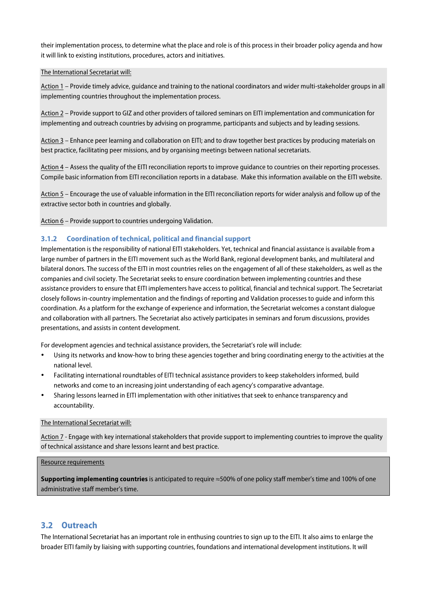their implementation process, to determine what the place and role is of this process in their broader policy agenda and how it will link to existing institutions, procedures, actors and initiatives.

#### The International Secretariat will:

Action 1 – Provide timely advice, guidance and training to the national coordinators and wider multi-stakeholder groups in all implementing countries throughout the implementation process.

Action 2 – Provide support to GIZ and other providers of tailored seminars on EITI implementation and communication for implementing and outreach countries by advising on programme, participants and subjects and by leading sessions.

Action 3 – Enhance peer learning and collaboration on EITI; and to draw together best practices by producing materials on best practice, facilitating peer missions, and by organising meetings between national secretariats.

Action 4 – Assess the quality of the EITI reconciliation reports to improve guidance to countries on their reporting processes. Compile basic information from EITI reconciliation reports in a database. Make this information available on the EITI website.

Action 5 – Encourage the use of valuable information in the EITI reconciliation reports for wider analysis and follow up of the extractive sector both in countries and globally.

Action 6 – Provide support to countries undergoing Validation.

#### **3.1.2 Coordination of technical, political and financial support**

Implementation is the responsibility of national EITI stakeholders. Yet, technical and financial assistance is available from a large number of partners in the EITI movement such as the World Bank, regional development banks, and multilateral and bilateral donors. The success of the EITI in most countries relies on the engagement of all of these stakeholders, as well as the companies and civil society. The Secretariat seeks to ensure coordination between implementing countries and these assistance providers to ensure that EITI implementers have access to political, financial and technical support. The Secretariat closely follows in-country implementation and the findings of reporting and Validation processes to guide and inform this coordination. As a platform for the exchange of experience and information, the Secretariat welcomes a constant dialogue and collaboration with all partners. The Secretariat also actively participates in seminars and forum discussions, provides presentations, and assists in content development.

For development agencies and technical assistance providers, the Secretariat's role will include:

- Using its networks and know-how to bring these agencies together and bring coordinating energy to the activities at the national level.
- Facilitating international roundtables of EITI technical assistance providers to keep stakeholders informed, build networks and come to an increasing joint understanding of each agency's comparative advantage.
- Sharing lessons learned in EITI implementation with other initiatives that seek to enhance transparency and accountability.

#### The International Secretariat will:

Action 7 - Engage with key international stakeholders that provide support to implementing countries to improve the quality of technical assistance and share lessons learnt and best practice.

#### Resource requirements

**Supporting implementing countries** is anticipated to require ≈500% of one policy staff member's time and 100% of one administrative staff member's time.

#### **3.2 Outreach**

The International Secretariat has an important role in enthusing countries to sign up to the EITI. It also aims to enlarge the broader EITI family by liaising with supporting countries, foundations and international development institutions. It will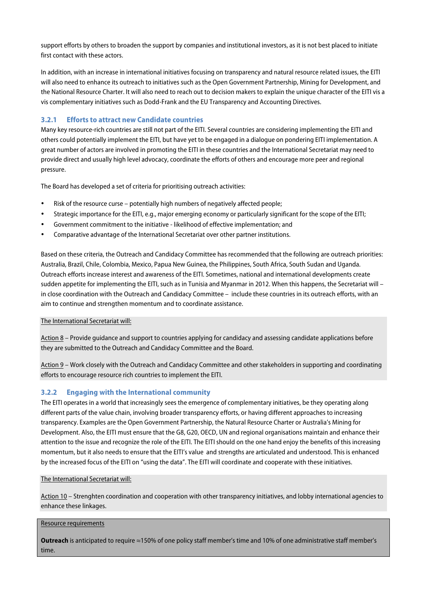support efforts by others to broaden the support by companies and institutional investors, as it is not best placed to initiate first contact with these actors.

In addition, with an increase in international initiatives focusing on transparency and natural resource related issues, the EITI will also need to enhance its outreach to initiatives such as the Open Government Partnership, Mining for Development, and the National Resource Charter. It will also need to reach out to decision makers to explain the unique character of the EITI vis a vis complementary initiatives such as Dodd-Frank and the EU Transparency and Accounting Directives.

#### **3.2.1 Efforts to attract new Candidate countries**

Many key resource-rich countries are still not part of the EITI. Several countries are considering implementing the EITI and others could potentially implement the EITI, but have yet to be engaged in a dialogue on pondering EITI implementation. A great number of actors are involved in promoting the EITI in these countries and the International Secretariat may need to provide direct and usually high level advocacy, coordinate the efforts of others and encourage more peer and regional pressure.

The Board has developed a set of criteria for prioritising outreach activities:

- Risk of the resource curse potentially high numbers of negatively affected people;
- Strategic importance for the EITI, e.g., major emerging economy or particularly significant for the scope of the EITI;
- Government commitment to the initiative likelihood of effective implementation; and
- Comparative advantage of the International Secretariat over other partner institutions.

Based on these criteria, the Outreach and Candidacy Committee has recommended that the following are outreach priorities: Australia, Brazil, Chile, Colombia, Mexico, Papua New Guinea, the Philippines, South Africa, South Sudan and Uganda. Outreach efforts increase interest and awareness of the EITI. Sometimes, national and international developments create sudden appetite for implementing the EITI, such as in Tunisia and Myanmar in 2012. When this happens, the Secretariat will – in close coordination with the Outreach and Candidacy Committee – include these countries in its outreach efforts, with an aim to continue and strengthen momentum and to coordinate assistance.

#### The International Secretariat will:

Action 8 – Provide guidance and support to countries applying for candidacy and assessing candidate applications before they are submitted to the Outreach and Candidacy Committee and the Board.

Action 9 – Work closely with the Outreach and Candidacy Committee and other stakeholders in supporting and coordinating efforts to encourage resource rich countries to implement the EITI.

#### **3.2.2 Engaging with the International community**

The EITI operates in a world that increasingly sees the emergence of complementary initiatives, be they operating along different parts of the value chain, involving broader transparency efforts, or having different approaches to increasing transparency. Examples are the Open Government Partnership, the Natural Resource Charter or Australia's Mining for Development. Also, the EITI must ensure that the G8, G20, OECD, UN and regional organisations maintain and enhance their attention to the issue and recognize the role of the EITI. The EITI should on the one hand enjoy the benefits of this increasing momentum, but it also needs to ensure that the EITI's value and strengths are articulated and understood. This is enhanced by the increased focus of the EITI on "using the data". The EITI will coordinate and cooperate with these initiatives.

#### The International Secretariat will:

Action 10 – Strenghten coordination and cooperation with other transparency initiatives, and lobby international agencies to enhance these linkages.

#### Resource requirements

**Outreach** is anticipated to require ≈150% of one policy staff member's time and 10% of one administrative staff member's time.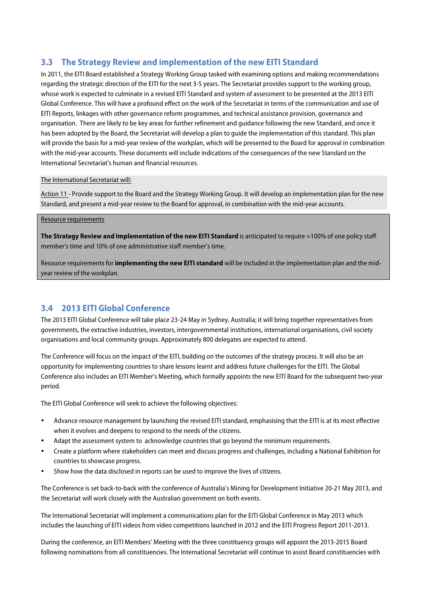## **3.3 The Strategy Review and implementation of the new EITI Standard**

In 2011, the EITI Board established a Strategy Working Group tasked with examining options and making recommendations regarding the strategic direction of the EITI for the next 3-5 years. The Secretariat provides support to the working group, whose work is expected to culminate in a revised EITI Standard and system of assessment to be presented at the 2013 EITI Global Conference. This will have a profound effect on the work of the Secretariat in terms of the communication and use of EITI Reports, linkages with other governance reform programmes, and technical assistance provision, governance and organisation. There are likely to be key areas for further refinement and guidance following the new Standard, and once it has been adopted by the Board, the Secretariat will develop a plan to guide the implementation of this standard. This plan will provide the basis for a mid-year review of the workplan, which will be presented to the Board for approval in combination with the mid-year accounts. These documents will include indications of the consequences of the new Standard on the International Secretariat's human and financial resources.

#### The International Secretariat will:

Action 11 - Provide support to the Board and the Strategy Working Group. It will develop an implementation plan for the new Standard, and present a mid-year review to the Board for approval, in combination with the mid-year accounts.

#### Resource requirements

**The Strategy Review and Implementation of the new EITI Standard** is anticipated to require ≈100% of one policy staff member's time and 10% of one administrative staff member's time.

Resource requirements for **implementing the new EITI standard** will be included in the implementation plan and the midyear review of the workplan.

## **3.4 2013 EITI Global Conference**

The 2013 EITI Global Conference will take place 23-24 May in Sydney, Australia; it will bring together representatives from governments, the extractive industries, investors, intergovernmental institutions, international organisations, civil society organisations and local community groups. Approximately 800 delegates are expected to attend.

The Conference will focus on the impact of the EITI, building on the outcomes of the strategy process. It will also be an opportunity for implementing countries to share lessons learnt and address future challenges for the EITI. The Global Conference also includes an EITI Member's Meeting, which formally appoints the new EITI Board for the subsequent two-year period.

The EITI Global Conference will seek to achieve the following objectives:

- Advance resource management by launching the revised EITI standard, emphasising that the EITI is at its most effective when it evolves and deepens to respond to the needs of the citizens.
- Adapt the assessment system to acknowledge countries that go beyond the minimum requirements.
- Create a platform where stakeholders can meet and discuss progress and challenges, including a National Exhibition for countries to showcase progress.
- Show how the data disclosed in reports can be used to improve the lives of citizens.

The Conference is set back-to-back with the conference of Australia's Mining for Development Initiative 20-21 May 2013, and the Secretariat will work closely with the Australian government on both events.

The International Secretariat will implement a communications plan for the EITI Global Conference in May 2013 which includes the launching of EITI videos from video competitions launched in 2012 and the EITI Progress Report 2011-2013.

During the conference, an EITI Members' Meeting with the three constituency groups will appoint the 2013-2015 Board following nominations from all constituencies. The International Secretariat will continue to assist Board constituencies with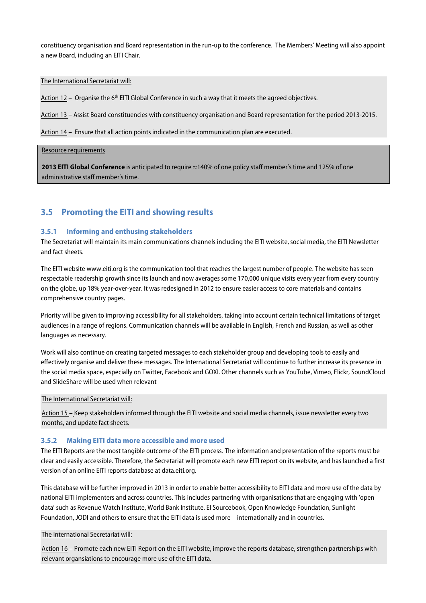constituency organisation and Board representation in the run-up to the conference. The Members' Meeting will also appoint a new Board, including an EITI Chair.

#### The International Secretariat will:

Action 12 – Organise the 6<sup>th</sup> EITI Global Conference in such a way that it meets the agreed objectives.

Action 13 – Assist Board constituencies with constituency organisation and Board representation for the period 2013-2015.

Action 14 – Ensure that all action points indicated in the communication plan are executed.

#### Resource requirements

**2013 EITI Global Conference** is anticipated to require ≈140% of one policy staff member's time and 125% of one administrative staff member's time.

#### **3.5 Promoting the EITI and showing results**

#### **3.5.1 Informing and enthusing stakeholders**

The Secretariat will maintain its main communications channels including the EITI website, social media, the EITI Newsletter and fact sheets.

The EITI website www.eiti.org is the communication tool that reaches the largest number of people. The website has seen respectable readership growth since its launch and now averages some 170,000 unique visits every year from every country on the globe, up 18% year-over-year. It was redesigned in 2012 to ensure easier access to core materials and contains comprehensive country pages.

Priority will be given to improving accessibility for all stakeholders, taking into account certain technical limitations of target audiences in a range of regions. Communication channels will be available in English, French and Russian, as well as other languages as necessary.

Work will also continue on creating targeted messages to each stakeholder group and developing tools to easily and effectively organise and deliver these messages. The International Secretariat will continue to further increase its presence in the social media space, especially on Twitter, Facebook and GOXI. Other channels such as YouTube, Vimeo, Flickr, SoundCloud and SlideShare will be used when relevant

#### The International Secretariat will:

Action 15 – Keep stakeholders informed through the EITI website and social media channels, issue newsletter every two months, and update fact sheets.

#### **3.5.2 Making EITI data more accessible and more used**

The EITI Reports are the most tangible outcome of the EITI process. The information and presentation of the reports must be clear and easily accessible. Therefore, the Secretariat will promote each new EITI report on its website, and has launched a first version of an online EITI reports database at data.eiti.org.

This database will be further improved in 2013 in order to enable better accessibility to EITI data and more use of the data by national EITI implementers and across countries. This includes partnering with organisations that are engaging with 'open data' such as Revenue Watch Institute, World Bank Institute, EI Sourcebook, Open Knowledge Foundation, Sunlight Foundation, JODI and others to ensure that the EITI data is used more – internationally and in countries.

#### The International Secretariat will:

Action 16 – Promote each new EITI Report on the EITI website, improve the reports database, strengthen partnerships with relevant organsiations to encourage more use of the EITI data.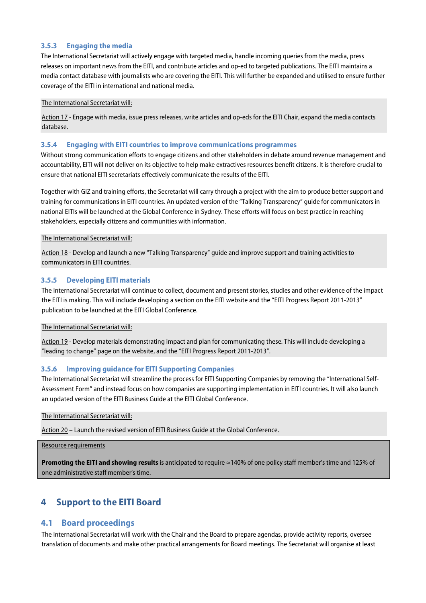#### **3.5.3 Engaging the media**

The International Secretariat will actively engage with targeted media, handle incoming queries from the media, press releases on important news from the EITI, and contribute articles and op-ed to targeted publications. The EITI maintains a media contact database with journalists who are covering the EITI. This will further be expanded and utilised to ensure further coverage of the EITI in international and national media.

#### The International Secretariat will:

Action 17 - Engage with media, issue press releases, write articles and op-eds for the EITI Chair, expand the media contacts database.

#### **3.5.4 Engaging with EITI countries to improve communications programmes**

Without strong communication efforts to engage citizens and other stakeholders in debate around revenue management and accountability, EITI will not deliver on its objective to help make extractives resources benefit citizens. It is therefore crucial to ensure that national EITI secretariats effectively communicate the results of the EITI.

Together with GIZ and training efforts, the Secretariat will carry through a project with the aim to produce better support and training for communications in EITI countries. An updated version of the "Talking Transparency" guide for communicators in national EITIs will be launched at the Global Conference in Sydney. These efforts will focus on best practice in reaching stakeholders, especially citizens and communities with information.

#### The International Secretariat will:

Action 18 - Develop and launch a new "Talking Transparency" guide and improve support and training activities to communicators in EITI countries.

#### **3.5.5 Developing EITI materials**

The International Secretariat will continue to collect, document and present stories, studies and other evidence of the impact the EITI is making. This will include developing a section on the EITI website and the "EITI Progress Report 2011-2013" publication to be launched at the EITI Global Conference.

#### The International Secretariat will:

Action 19 - Develop materials demonstrating impact and plan for communicating these. This will include developing a "leading to change" page on the website, and the "EITI Progress Report 2011-2013".

#### **3.5.6 Improving guidance for EITI Supporting Companies**

The International Secretariat will streamline the process for EITI Supporting Companies by removing the "International Self-Assessment Form" and instead focus on how companies are supporting implementation in EITI countries. It will also launch an updated version of the EITI Business Guide at the EITI Global Conference.

#### The International Secretariat will:

Action 20 – Launch the revised version of EITI Business Guide at the Global Conference.

#### Resource requirements

**Promoting the EITI and showing results** is anticipated to require ≈140% of one policy staff member's time and 125% of one administrative staff member's time.

## **4 Support to the EITI Board**

#### **4.1 Board proceedings**

The International Secretariat will work with the Chair and the Board to prepare agendas, provide activity reports, oversee translation of documents and make other practical arrangements for Board meetings. The Secretariat will organise at least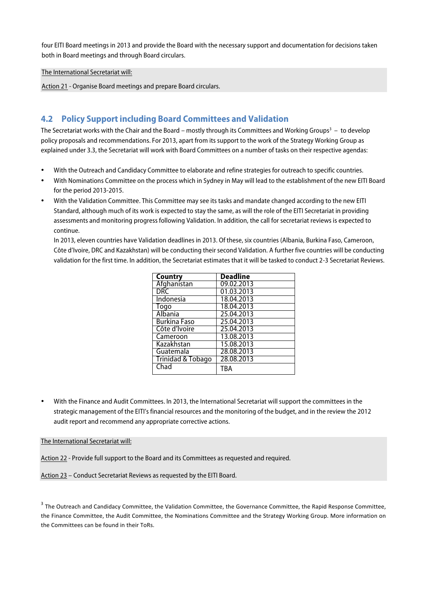four EITI Board meetings in 2013 and provide the Board with the necessary support and documentation for decisions taken both in Board meetings and through Board circulars.

The International Secretariat will:

Action 21 - Organise Board meetings and prepare Board circulars.

## **4.2 Policy Support including Board Committees and Validation**

The Secretariat works with the Chair and the Board – mostly through its Committees and Working Groups $^3$  – to develop policy proposals and recommendations. For 2013, apart from its support to the work of the Strategy Working Group as explained under 3.3, the Secretariat will work with Board Committees on a number of tasks on their respective agendas:

- With the Outreach and Candidacy Committee to elaborate and refine strategies for outreach to specific countries.
- With Nominations Committee on the process which in Sydney in May will lead to the establishment of the new EITI Board for the period 2013-2015.
- With the Validation Committee. This Committee may see its tasks and mandate changed according to the new EITI Standard, although much of its work is expected to stay the same, as will the role of the EITI Secretariat in providing assessments and monitoring progress following Validation. In addition, the call for secretariat reviews is expected to continue.

In 2013, eleven countries have Validation deadlines in 2013. Of these, six countries (Albania, Burkina Faso, Cameroon, Côte d'Ivoire, DRC and Kazakhstan) will be conducting their second Validation. A further five countries will be conducting validation for the first time. In addition, the Secretariat estimates that it will be tasked to conduct 2-3 Secretariat Reviews.

| <b>Country</b>      | <b>Deadline</b> |
|---------------------|-----------------|
| Afghanistan         | 09.02.2013      |
| DRC                 | 01.03.2013      |
| Indonesia           | 18.04.2013      |
| Togo                | 18.04.2013      |
| Albania             | 25.04.2013      |
| <b>Burkina Faso</b> | 25.04.2013      |
| Côte d'Ivoire       | 25.04.2013      |
| Cameroon            | 13.08.2013      |
| Kazakhstan          | 15.08.2013      |
| Guatemala           | 28.08.2013      |
| Trinidad & Tobago   | 28.08.2013      |
| Chad                | TRA             |

• With the Finance and Audit Committees. In 2013, the International Secretariat will support the committees in the strategic management of the EITI's financial resources and the monitoring of the budget, and in the review the 2012 audit report and recommend any appropriate corrective actions.

#### The International Secretariat will:

Action 22 - Provide full support to the Board and its Committees as requested and required.

Action 23 - Conduct Secretariat Reviews as requested by the EITI Board.

 $^3$  The Outreach and Candidacy Committee, the Validation Committee, the Governance Committee, the Rapid Response Committee, the Finance Committee, the Audit Committee, the Nominations Committee and the Strategy Working Group. More information on the Committees can be found in their ToRs.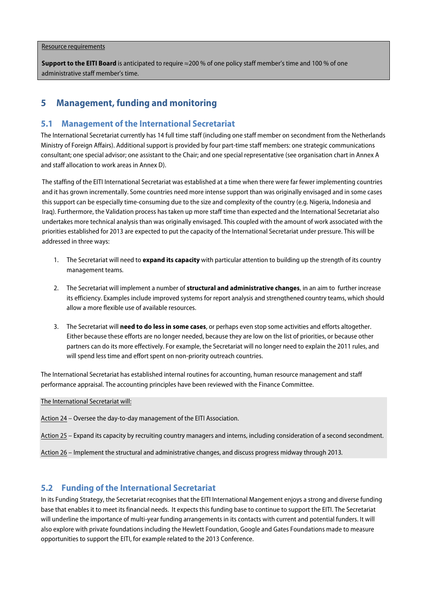#### Resource requirements

**Support to the EITI Board** is anticipated to require ≈200 % of one policy staff member's time and 100 % of one administrative staff member's time.

## **5 Management, funding and monitoring**

#### **5.1 Management of the International Secretariat**

The International Secretariat currently has 14 full time staff (including one staff member on secondment from the Netherlands Ministry of Foreign Affairs). Additional support is provided by four part-time staff members: one strategic communications consultant; one special advisor; one assistant to the Chair; and one special representative (see organisation chart in Annex A and staff allocation to work areas in Annex D).

The staffing of the EITI International Secretariat was established at a time when there were far fewer implementing countries and it has grown incrementally. Some countries need more intense support than was originally envisaged and in some cases this support can be especially time-consuming due to the size and complexity of the country (e.g. Nigeria, Indonesia and Iraq). Furthermore, the Validation process has taken up more staff time than expected and the International Secretariat also undertakes more technical analysis than was originally envisaged. This coupled with the amount of work associated with the priorities established for 2013 are expected to put the capacity of the International Secretariat under pressure. This will be addressed in three ways:

- 1. The Secretariat will need to **expand its capacity** with particular attention to building up the strength of its country management teams.
- 2. The Secretariat will implement a number of **structural and administrative changes**, in an aim to further increase its efficiency. Examples include improved systems for report analysis and strengthened country teams, which should allow a more flexible use of available resources.
- 3. The Secretariat will **need to do less in some cases**, or perhaps even stop some activities and efforts altogether. Either because these efforts are no longer needed, because they are low on the list of priorities, or because other partners can do its more effectively. For example, the Secretariat will no longer need to explain the 2011 rules, and will spend less time and effort spent on non-priority outreach countries.

The International Secretariat has established internal routines for accounting, human resource management and staff performance appraisal. The accounting principles have been reviewed with the Finance Committee.

The International Secretariat will:

Action 24 – Oversee the day-to-day management of the EITI Association.

Action 25 – Expand its capacity by recruiting country managers and interns, including consideration of a second secondment.

Action 26 – Implement the structural and administrative changes, and discuss progress midway through 2013.

## **5.2 Funding of the International Secretariat**

In its Funding Strategy, the Secretariat recognises that the EITI International Mangement enjoys a strong and diverse funding base that enables it to meet its financial needs. It expects this funding base to continue to support the EITI. The Secretariat will underline the importance of multi-year funding arrangements in its contacts with current and potential funders. It will also explore with private foundations including the Hewlett Foundation, Google and Gates Foundations made to measure opportunities to support the EITI, for example related to the 2013 Conference.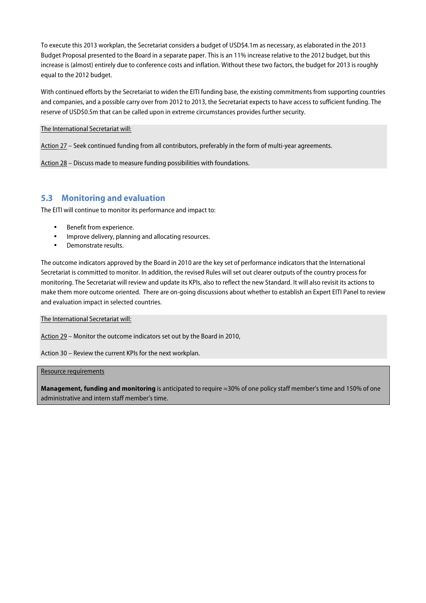To execute this 2013 workplan, the Secretariat considers a budget of USD\$4.1m as necessary, as elaborated in the 2013 Budget Proposal presented to the Board in a separate paper. This is an 11% increase relative to the 2012 budget, but this increase is (almost) entirely due to conference costs and inflation. Without these two factors, the budget for 2013 is roughly equal to the 2012 budget.

With continued efforts by the Secretariat to widen the EITI funding base, the existing commitments from supporting countries and companies, and a possible carry over from 2012 to 2013, the Secretariat expects to have access to sufficient funding. The reserve of USD\$0.5m that can be called upon in extreme circumstances provides further security.

#### The International Secretariat will:

Action 27 – Seek continued funding from all contributors, preferably in the form of multi-year agreements.

Action 28 – Discuss made to measure funding possibilities with foundations.

#### **5.3 Monitoring and evaluation**

The EITI will continue to monitor its performance and impact to:

- Benefit from experience.
- Improve delivery, planning and allocating resources.
- Demonstrate results.

The outcome indicators approved by the Board in 2010 are the key set of performance indicators that the International Secretariat is committed to monitor. In addition, the revised Rules will set out clearer outputs of the country process for monitoring. The Secretariat will review and update its KPIs, also to reflect the new Standard. It will also revisit its actions to make them more outcome oriented. There are on-going discussions about whether to establish an Expert EITI Panel to review and evaluation impact in selected countries.

#### The International Secretariat will:

Action 29 – Monitor the outcome indicators set out by the Board in 2010,

Action 30 – Review the current KPIs for the next workplan.

#### Resource requirements

**Management, funding and monitoring** is anticipated to require ≈30% of one policy staff member's time and 150% of one administrative and intern staff member's time.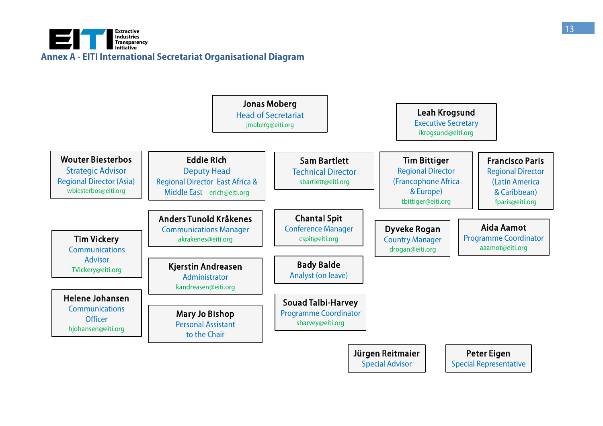

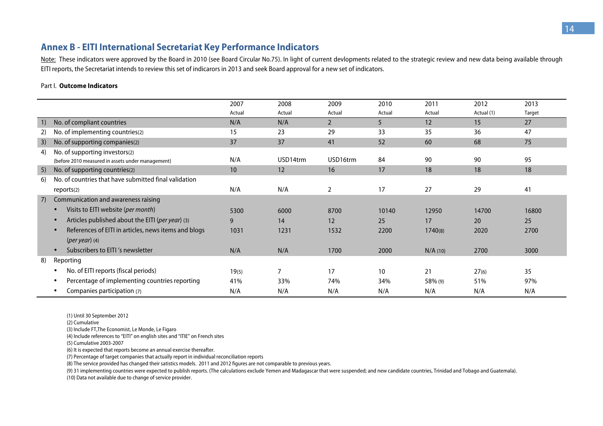## **Annex B - EITI International Secretariat Key Performance Indicators**

Note: These indicators were approved by the Board in 2010 (see Board Circular No.75). In light of current devlopments related to the strategic review and new data being available through EITI reports, the Secretariat intends to review this set of indicarors in 2013 and seek Board approval for a new set of indicators.

#### Part I. **Outcome Indicators**

|    |                                                                   | 2007   | 2008     | 2009           | 2010   | 2011       | 2012       | 2013   |
|----|-------------------------------------------------------------------|--------|----------|----------------|--------|------------|------------|--------|
|    |                                                                   | Actual | Actual   | Actual         | Actual | Actual     | Actual (1) | Target |
| 1) | No. of compliant countries                                        | N/A    | N/A      | $\overline{2}$ | 5      | 12         | 15         | 27     |
| 2) | No. of implementing countries(2)                                  | 15     | 23       | 29             | 33     | 35         | 36         | 47     |
| 3) | No. of supporting companies(2)                                    | 37     | 37       | 41             | 52     | 60         | 68         | 75     |
| 4) | No. of supporting investors(2)                                    |        |          |                |        |            |            |        |
|    | (before 2010 measured in assets under management)                 | N/A    | USD14trm | USD16trm       | 84     | 90         | 90         | 95     |
| 5) | No. of supporting countries(2)                                    | 10     | 12       | 16             | 17     | 18         | 18         | 18     |
| 6) | No. of countries that have submitted final validation             |        |          |                |        |            |            |        |
|    | reports(2)                                                        | N/A    | N/A      | 2              | 17     | 27         | 29         | 41     |
| 7) | Communication and awareness raising                               |        |          |                |        |            |            |        |
|    | Visits to EITI website (per month)<br>$\bullet$                   | 5300   | 6000     | 8700           | 10140  | 12950      | 14700      | 16800  |
|    | Articles published about the EITI (per year) (3)<br>$\bullet$     | 9      | 14       | 12             | 25     | 17         | 20         | 25     |
|    | References of EITI in articles, news items and blogs<br>$\bullet$ | 1031   | 1231     | 1532           | 2200   | 1740(8)    | 2020       | 2700   |
|    | $(per year)$ (4)                                                  |        |          |                |        |            |            |        |
|    | Subscribers to EITI's newsletter<br>$\bullet$                     | N/A    | N/A      | 1700           | 2000   | $N/A$ (10) | 2700       | 3000   |
| 8) | Reporting                                                         |        |          |                |        |            |            |        |
|    | No. of EITI reports (fiscal periods)<br>٠                         | 19(5)  |          | 17             | 10     | 21         | 27(6)      | 35     |
|    | Percentage of implementing countries reporting<br>٠               | 41%    | 33%      | 74%            | 34%    | 58% (9)    | 51%        | 97%    |
|    | Companies participation (7)<br>٠                                  | N/A    | N/A      | N/A            | N/A    | N/A        | N/A        | N/A    |

(1) Until 30 September 2012

(2) Cumulative

(3) Include FT,The Economist, Le Monde, Le Figaro

(4) Include references to "EITI" on english sites and "ITIE" on French sites

(5) Cumulative 2003-2007

(6) It is expected that reports become an annual exercise thereafter.

(7) Percentage of target companies that actually report in individual reconciliation reports

(8) The service provided has changed their satistics models. 2011 and 2012 figures are not comparable to previous years.

(9) 31 implementing countries were expected to publish reports. (The calculations exclude Yemen and Madagascar that were suspended; and new candidate countries, Trinidad and Tobago and Guatemala).

(10) Data not available due to change of service provider.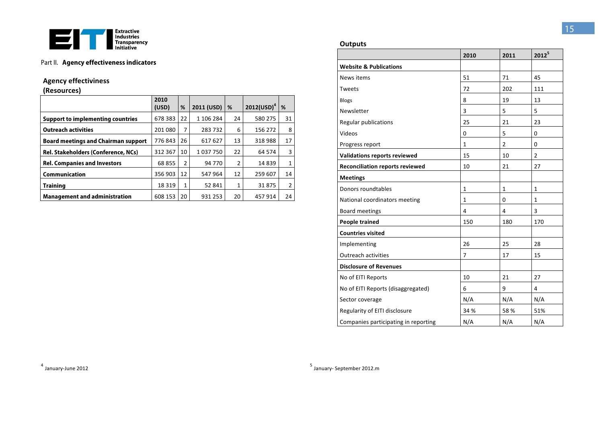

#### Part II. Agency effectiveness indicators

## **Agency effectiviness**

(Resources)

|                                            | 2010<br>(USD) | %              | 2011 (USD) | %  | $2012(USD)^4$ | %  |
|--------------------------------------------|---------------|----------------|------------|----|---------------|----|
| <b>Support to implementing countries</b>   | 678 383       | 22             | 1 106 284  | 24 | 580 275       | 31 |
| <b>Outreach activities</b>                 | 201 080       | 7              | 283732     | 6  | 156 272       | 8  |
| <b>Board meetings and Chairman support</b> | 776843        | 26             | 617 627    | 13 | 318988        | 17 |
| Rel. Stakeholders (Conference, NCs)        | 312 367       | 10             | 1 037 750  | 22 | 64 574        | 3  |
| <b>Rel. Companies and Investors</b>        | 68 855        | $\overline{2}$ | 94 770     | 2  | 14839         | 1  |
| <b>Communication</b>                       | 356 903       | 12             | 547 964    | 12 | 259 607       | 14 |
| <b>Training</b>                            | 18 3 19       | 1              | 52 841     | 1  | 31875         | 2  |
| <b>Management and administration</b>       | 608 153       | 20             | 931 253    | 20 | 457914        | 24 |

#### **Outputs**

|                                        | 2010           | 2011         | $2012^5$       |
|----------------------------------------|----------------|--------------|----------------|
| <b>Website &amp; Publications</b>      |                |              |                |
| News items                             | 51             | 71           | 45             |
| Tweets                                 | 72             | 202          | 111            |
| <b>Blogs</b>                           | 8              | 19           | 13             |
| Newsletter                             | 3              | 5            | 5              |
| Regular publications                   | 25             | 21           | 23             |
| Videos                                 | 0              | 5            | 0              |
| Progress report                        | $\mathbf{1}$   | 2            | 0              |
| <b>Validations reports reviewed</b>    | 15             | 10           | $\overline{2}$ |
| <b>Reconciliation reports reviewed</b> | 10             | 21           | 27             |
| <b>Meetings</b>                        |                |              |                |
| Donors roundtables                     | 1              | $\mathbf{1}$ | $\mathbf{1}$   |
| National coordinators meeting          | $\mathbf{1}$   | $\mathbf 0$  | $\mathbf{1}$   |
| <b>Board meetings</b>                  | 4              | 4            | 3              |
| <b>People trained</b>                  | 150            | 180          | 170            |
| <b>Countries visited</b>               |                |              |                |
| Implementing                           | 26             | 25           | 28             |
| <b>Outreach activities</b>             | $\overline{7}$ | 17           | 15             |
| <b>Disclosure of Revenues</b>          |                |              |                |
| No of EITI Reports                     | 10             | 21           | 27             |
| No of EITI Reports (disaggregated)     | 6              | 9            | 4              |
| Sector coverage                        | N/A            | N/A          | N/A            |
| Regularity of EITI disclosure          | 34 %           | 58%          | 51%            |
| Companies participating in reporting   | N/A            | N/A          | N/A            |

15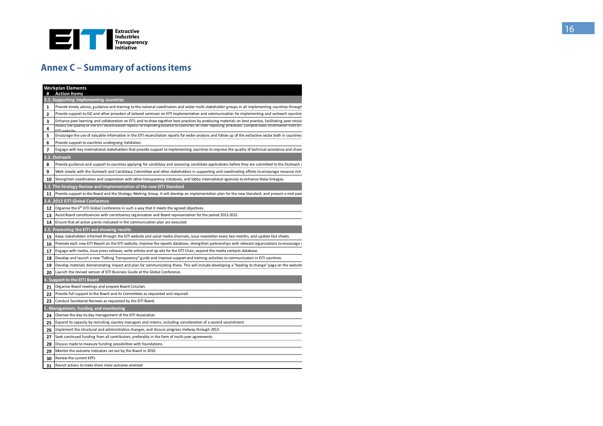

## **Annex C - Summary of actions items**

|        | <b>Workplan Elements</b><br><b>Action Items</b>                                                                                                                                                                                                                                                                   |
|--------|-------------------------------------------------------------------------------------------------------------------------------------------------------------------------------------------------------------------------------------------------------------------------------------------------------------------|
|        | 3.1. Supporting implementing countries                                                                                                                                                                                                                                                                            |
| 1      | Provide timely advice, guidance and training to the national coordinators and wider multi-stakeholder groups in all implementing countries through                                                                                                                                                                |
| 2      | Provide support to GIZ and other providers of tailored seminars on EITI implementation and communication for implementing and outreach countries                                                                                                                                                                  |
| 3<br>4 | Enhance peer learning and collaboration on EITI; and to draw together best practices by producing materials on best practice, facilitating peer missic<br>Assess the quality of the EITI reconciliation reports to improve guidance to countries on their reporting processes. Compile basic information from EIT |
| 5      | Encourage the use of valuable information in the EITI reconciliation reports for wider analysis and follow up of the extractive sector both in countries                                                                                                                                                          |
| 6      | Provide support to countries undergoing Validation.                                                                                                                                                                                                                                                               |
| 7      | Engage with key international stakeholders that provide support to implementing countries to improve the quality of technical assistance and share                                                                                                                                                                |
|        | 3.2. Outreach                                                                                                                                                                                                                                                                                                     |
| 8      | Provide guidance and support to countries applying for candidacy and assessing candidate applications before they are submitted to the Outreach a                                                                                                                                                                 |
| 9      | Work closely with the Outreach and Candidacy Committee and other stakeholders in supporting and coordinating efforts to encourage resource rich                                                                                                                                                                   |
| 10     | Strenghten coordination and cooperation with other transparency initiatives, and lobby international agencies to enhance these linkages.                                                                                                                                                                          |
|        | 3.3. The Strategy Review and implementation of the new EITI Standard                                                                                                                                                                                                                                              |
| 11     | Provide support to the Board and the Strategy Working Group. It will develop an implementation plan for the new Standard, and present a mid-year                                                                                                                                                                  |
|        | 3.4. 2013 EITI Global Conference                                                                                                                                                                                                                                                                                  |
| 12     | Organise the 6 <sup>th</sup> EITI Global Conference in such a way that it meets the agreed objectives.                                                                                                                                                                                                            |
| 13     | Assist Board constituencies with constituency organisation and Board representation for the period 2013-2015.                                                                                                                                                                                                     |
| 14     | Ensure that all action points indicated in the communication plan are executed.                                                                                                                                                                                                                                   |
|        | 3.5. Promoting the EITI and showing results                                                                                                                                                                                                                                                                       |
| 15     | Keep stakeholders informed through the EITI website and social media channels, issue newsletter every two months, and update fact sheets.                                                                                                                                                                         |
| 16     | Promote each new EITI Report on the EITI website, improve the reports database, strengthen partnerships with relevant organsiations to encourage r                                                                                                                                                                |
| 17     | Engage with media, issue press releases, write articles and op-eds for the EITI Chair, expand the media contacts database.                                                                                                                                                                                        |
| 18     | Develop and launch a new "Talking Transparency" guide and improve support and training activities to communicators in EITI countries.                                                                                                                                                                             |
| 19     | Develop materials demonstrating impact and plan for communicating these. This will include developing a 'leading to change" page on the website                                                                                                                                                                   |
| 20     | Launch the revised version of EITI Business Guide at the Global Conference.                                                                                                                                                                                                                                       |
|        | 4. Support to the EITI Board                                                                                                                                                                                                                                                                                      |
| 21     | Organise Board meetings and prepare Board Circulars                                                                                                                                                                                                                                                               |
| 22     | Provide full support to the Board and its Committees as requested and required.                                                                                                                                                                                                                                   |
| 23     | Conduct Secretariat Reviews as requested by the EITI Board.                                                                                                                                                                                                                                                       |
|        | 5. Management, funding and monitoring                                                                                                                                                                                                                                                                             |
| 24     | Oversee the day-to-day management of the EITI Association.                                                                                                                                                                                                                                                        |
| 25     | Expand its capacity by recruiting country managers and interns, including consideration of a second secondment.                                                                                                                                                                                                   |
| 26     | Implement the structural and administrative changes, and discuss progress midway through 2013.                                                                                                                                                                                                                    |
| 27     | Seek continued funding from all contributors, preferably in the form of multi-year agreements.                                                                                                                                                                                                                    |
| 28     | Discuss made to measure funding possibilities with foundations.                                                                                                                                                                                                                                                   |
| 29     | Monitor the outcome indicators set out by the Board in 2010.                                                                                                                                                                                                                                                      |
| 30     | Review the current KPI's                                                                                                                                                                                                                                                                                          |
| 31     | Revisit actions to make them more outcome oriented                                                                                                                                                                                                                                                                |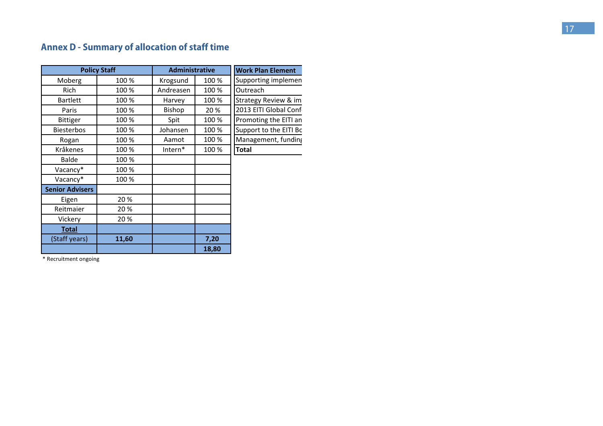## **Annex D - Summary of allocation of staff time**

| <b>Policy Staff</b>    |       | <b>Administrative</b> |       | <b>Work Plan Element</b> |
|------------------------|-------|-----------------------|-------|--------------------------|
| Moberg                 | 100 % | Krogsund              | 100 % | Supporting implemen      |
| <b>Rich</b>            | 100 % | Andreasen             | 100 % | Outreach                 |
| <b>Bartlett</b>        | 100 % | Harvey                | 100 % | Strategy Review & im     |
| Paris                  | 100 % | Bishop                | 20 %  | 2013 EITI Global Conf    |
| <b>Bittiger</b>        | 100 % | Spit                  | 100%  | Promoting the EITI an    |
| <b>Biesterbos</b>      | 100 % | Johansen              | 100%  | Support to the EITI Bc   |
| Rogan                  | 100 % | Aamot                 | 100%  | Management, funding      |
| Kråkenes               | 100 % | Intern*               | 100%  | <b>Total</b>             |
| <b>Balde</b>           | 100 % |                       |       |                          |
| Vacancy*               | 100 % |                       |       |                          |
| Vacancy*               | 100 % |                       |       |                          |
| <b>Senior Advisers</b> |       |                       |       |                          |
| Eigen                  | 20%   |                       |       |                          |
| Reitmaier              | 20%   |                       |       |                          |
| Vickery                | 20%   |                       |       |                          |
| <b>Total</b>           |       |                       |       |                          |
| (Staff years)          | 11,60 |                       | 7,20  |                          |
|                        |       |                       | 18,80 |                          |

\* Recruitment ongoing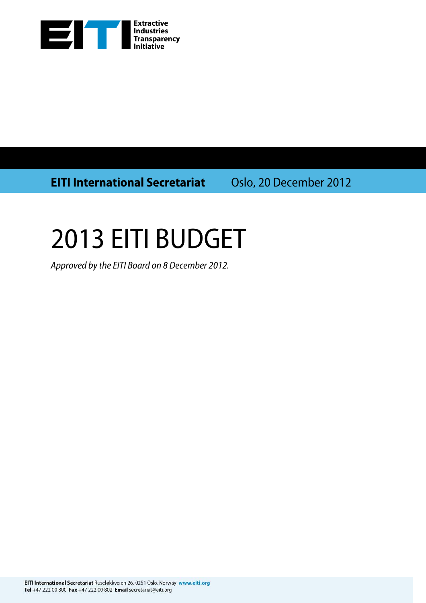

**EITI International Secretariat** Oslo, 20 December 2012

# 2013 EITI BUDGET

Approved by the EITI Board on 8 December 2012.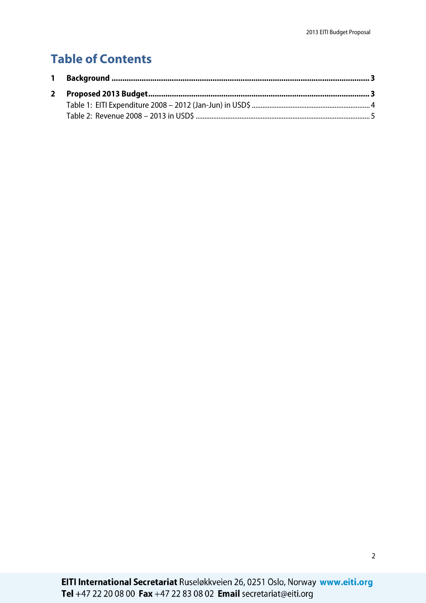## **Table of Contents**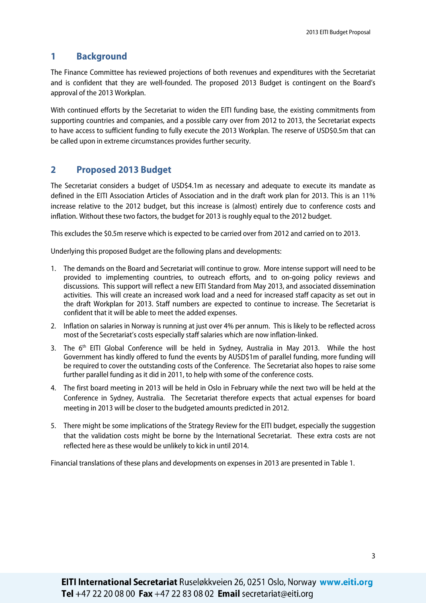### **1 Background**

The Finance Committee has reviewed projections of both revenues and expenditures with the Secretariat and is confident that they are well-founded. The proposed 2013 Budget is contingent on the Board's approval of the 2013 Workplan.

With continued efforts by the Secretariat to widen the EITI funding base, the existing commitments from supporting countries and companies, and a possible carry over from 2012 to 2013, the Secretariat expects to have access to sufficient funding to fully execute the 2013 Workplan. The reserve of USD\$0.5m that can be called upon in extreme circumstances provides further security.

## **2 Proposed 2013 Budget**

The Secretariat considers a budget of USD\$4.1m as necessary and adequate to execute its mandate as defined in the EITI Association Articles of Association and in the draft work plan for 2013. This is an 11% increase relative to the 2012 budget, but this increase is (almost) entirely due to conference costs and inflation. Without these two factors, the budget for 2013 is roughly equal to the 2012 budget.

This excludes the \$0.5m reserve which is expected to be carried over from 2012 and carried on to 2013.

Underlying this proposed Budget are the following plans and developments:

- 1. The demands on the Board and Secretariat will continue to grow. More intense support will need to be provided to implementing countries, to outreach efforts, and to on-going policy reviews and discussions. This support will reflect a new EITI Standard from May 2013, and associated dissemination activities. This will create an increased work load and a need for increased staff capacity as set out in the draft Workplan for 2013. Staff numbers are expected to continue to increase. The Secretariat is confident that it will be able to meet the added expenses.
- 2. Inflation on salaries in Norway is running at just over 4% per annum. This is likely to be reflected across most of the Secretariat's costs especially staff salaries which are now inflation-linked.
- 3. The 6<sup>th</sup> EITI Global Conference will be held in Sydney, Australia in May 2013. While the host Government has kindly offered to fund the events by AUSD\$1m of parallel funding, more funding will be required to cover the outstanding costs of the Conference. The Secretariat also hopes to raise some further parallel funding as it did in 2011, to help with some of the conference costs.
- 4. The first board meeting in 2013 will be held in Oslo in February while the next two will be held at the Conference in Sydney, Australia. The Secretariat therefore expects that actual expenses for board meeting in 2013 will be closer to the budgeted amounts predicted in 2012.
- 5. There might be some implications of the Strategy Review for the EITI budget, especially the suggestion that the validation costs might be borne by the International Secretariat. These extra costs are not reflected here as these would be unlikely to kick in until 2014.

Financial translations of these plans and developments on expenses in 2013 are presented in Table 1.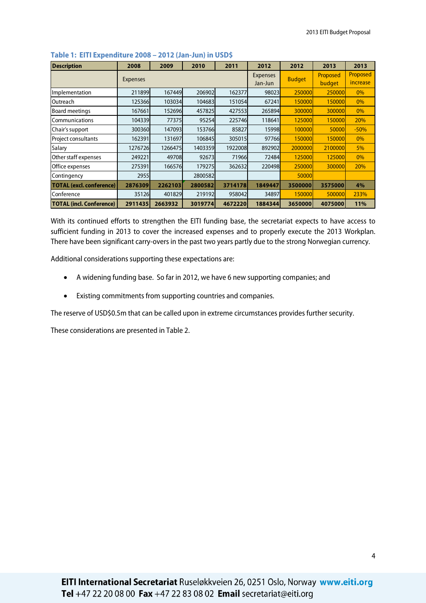| <b>Description</b>              | 2008            | 2009    | 2010    | 2011    | 2012                       | 2012          | 2013         | 2013                 |
|---------------------------------|-----------------|---------|---------|---------|----------------------------|---------------|--------------|----------------------|
|                                 | <b>Expenses</b> |         |         |         | <b>Expenses</b><br>Jan-Jun | <b>Budget</b> | Proposed     | Proposed<br>increase |
|                                 |                 |         |         |         |                            |               | budget       |                      |
| Implementation                  | 211899          | 167449  | 206902  | 162377  | 98023                      | 250000        | 250000       | $0\%$                |
| Outreach                        | 125366          | 103034  | 104683  | 151054  | 67241                      | 150000        | 150000       | $0\%$                |
| <b>Board meetings</b>           | 167661          | 152696  | 457825  | 427553  | 265894                     | 300000        | 300000       | $0\%$                |
| Communications                  | 104339          | 77375   | 95254   | 225746  | 118641                     | 125000        | 150000       | 20%                  |
| Chair's support                 | 300360          | 147093  | 153766  | 85827   | 15998                      | 100000        | <b>50000</b> | $-50%$               |
| Project consultants             | 162391          | 131697  | 106845  | 305015  | 97766                      | 150000        | 150000       | $0\%$                |
| Salary                          | 1276726         | 1266475 | 1403359 | 1922008 | 892902                     | 2000000       | 2100000      | 5%                   |
| Other staff expenses            | 249221          | 49708   | 92673   | 71966   | 72484                      | 125000        | 125000       | $0\%$                |
| Office expenses                 | 275391          | 166576  | 179275  | 362632  | 220498                     | 250000        | 300000       | 20%                  |
| Contingency                     | 2955            |         | 2800582 |         |                            | 50000         |              |                      |
| <b>TOTAL (excl. conference)</b> | 2876309         | 2262103 | 2800582 | 3714178 | 1849447                    | 3500000       | 3575000      | 4%                   |
| Conference                      | 35126           | 401829  | 219192  | 958042  | 34897                      | 150000        | 500000       | 233%                 |
| <b>TOTAL (incl. Conference)</b> | 2911435         | 2663932 | 3019774 | 4672220 | 1884344                    | 3650000       | 4075000      | 11%                  |

#### **Table 1: EITI Expenditure 2008 – 2012 (Jan-Jun) in USD\$**

With its continued efforts to strengthen the EITI funding base, the secretariat expects to have access to sufficient funding in 2013 to cover the increased expenses and to properly execute the 2013 Workplan. There have been significant carry-overs in the past two years partly due to the strong Norwegian currency.

Additional considerations supporting these expectations are:

- A widening funding base. So far in 2012, we have 6 new supporting companies; and
- Existing commitments from supporting countries and companies.

The reserve of USD\$0.5m that can be called upon in extreme circumstances provides further security.

These considerations are presented in Table 2.